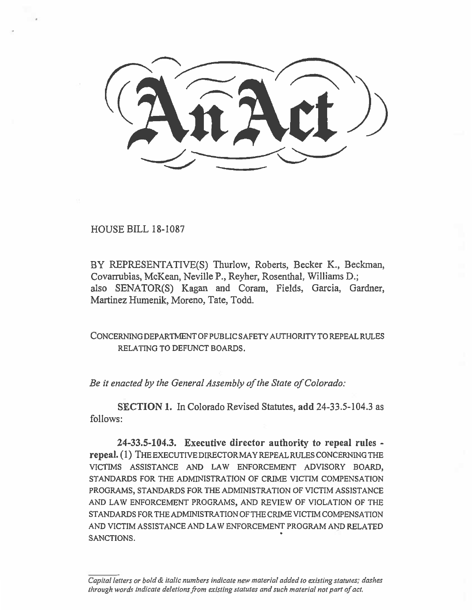HOUSE BILL 18-1087

BY REPRESENTATIVE(S) Thurlow, Roberts, Becker K., Beckman, Covarrubias, McKean, Neville P., Reyher, Rosenthal, Williams D.; also SENATOR(S) Kagan and Coram, Fields, Garcia, Gardner, Martinez Humenik, Moreno, Tate, Todd.

CONCERNING DEPARTMENT OF PUBLIC SAFETY AUTHORITY TO REPEAL RULES RELATING TO DEFUNCT BOARDS.

*Be it enacted by the General Assembly of the State of Colorado:* 

**SECTION 1.** In Colorado Revised Statutes, **add** 24-33.5-104.3 as follows:

**24-33.5-104.3. Executive director authority to repeal rules repeal. (1)** THE EXECUTIVE DIRECTOR MAY REPEAL RULES CONCERNING THE VICTIMS ASSISTANCE AND LAW ENFORCEMENT ADVISORY BOARD, STANDARDS FOR THE ADMINISTRATION OF CRIME VICTIM COMPENSATION PROGRAMS, STANDARDS FOR THE ADMINISTRATION OF VICTIM ASSISTANCE AND LAW ENFORCEMENT PROGRAMS, AND REVIEW OF VIOLATION OF THE STANDARDS FOR THE ADMINISTRATION OF THE CRIME VICTIM COMPENSATION AND VICTIM ASSISTANCE AND LAW ENFORCEMENT PROGRAM AND RELATED SANCTIONS.

*Capital letters or bold & italic numbers indicate new material added to existing statutes; dashes through words indicate deletions from existing statutes and such material not part of act.*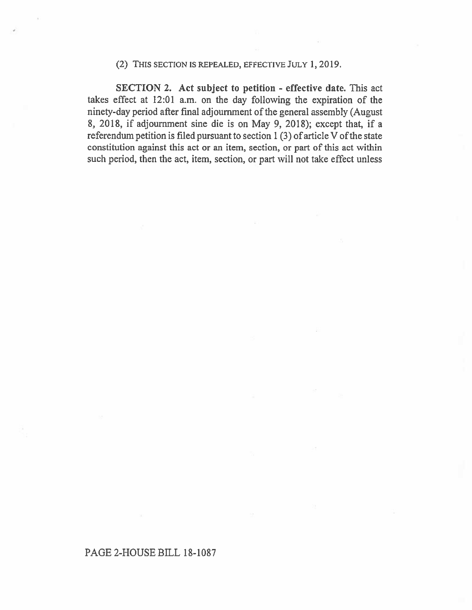## **(2)** THIS SECTION **IS REPEALED,** EFFECTIVE JULY **1, 2019.**

**SECTION 2. Act subject to petition - effective date. This act takes effect at 12:01 a.m. on the day following the expiration of the ninety-day period after final adjournment of the general assembly (August 8, 2018, if adjournment sine die is on May 9, 2018); except that, if a referendum petition is filed pursuant to section I (3) of article V of the state constitution against this act or an item, section, or part of this act within such period, then the act, item, section, or part will not take effect unless** 

## **PAGE 2-HOUSE BILL 18-1087**